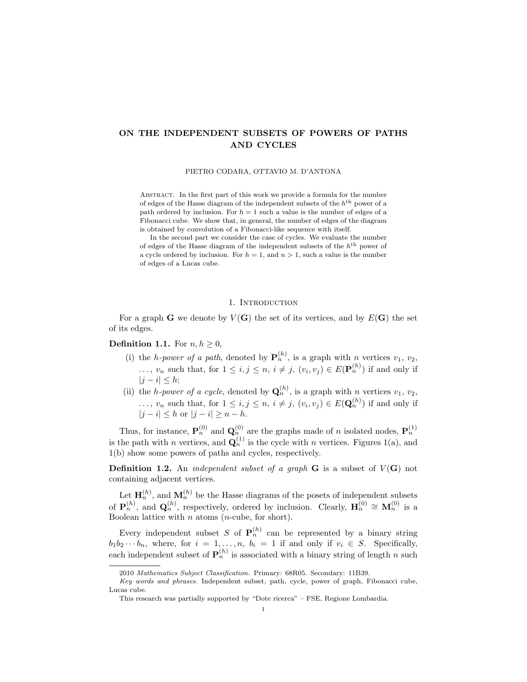# ON THE INDEPENDENT SUBSETS OF POWERS OF PATHS AND CYCLES

PIETRO CODARA, OTTAVIO M. D'ANTONA

Abstract. In the first part of this work we provide a formula for the number of edges of the Hasse diagram of the independent subsets of the  $h<sup>th</sup>$  power of a path ordered by inclusion. For  $h = 1$  such a value is the number of edges of a Fibonacci cube. We show that, in general, the number of edges of the diagram is obtained by convolution of a Fibonacci-like sequence with itself.

In the second part we consider the case of cycles. We evaluate the number of edges of the Hasse diagram of the independent subsets of the  $h<sup>th</sup>$  power of a cycle ordered by inclusion. For  $h = 1$ , and  $n > 1$ , such a value is the number of edges of a Lucas cube.

#### 1. INTRODUCTION

For a graph **G** we denote by  $V(G)$  the set of its vertices, and by  $E(G)$  the set of its edges.

## **Definition 1.1.** For  $n, h \geq 0$ ,

- (i) the *h-power of a path*, denoted by  $\mathbf{P}_n^{(h)}$ , is a graph with *n* vertices  $v_1, v_2$ , ...,  $v_n$  such that, for  $1 \leq i, j \leq n$ ,  $i \neq j$ ,  $(v_i, v_j) \in E(\mathbf{P}_n^{(h)})$  if and only if  $|j - i| \leq h;$
- (ii) the *h-power of a cycle*, denoted by  $\mathbf{Q}_n^{(h)}$ , is a graph with *n* vertices  $v_1, v_2$ ,  $\ldots, v_n$  such that, for  $1 \leq i, j \leq n, i \neq j, (v_i, v_j) \in E(\mathbf{Q}_n^{(h)})$  if and only if  $|j - i| \leq h$  or  $|j - i| > n - h$ .

Thus, for instance,  $\mathbf{P}_n^{(0)}$  and  $\mathbf{Q}_n^{(0)}$  are the graphs made of n isolated nodes,  $\mathbf{P}_n^{(1)}$ is the path with n vertices, and  $\mathbf{Q}_n^{(1)}$  is the cycle with n vertices. Figures 1(a), and 1(b) show some powers of paths and cycles, respectively.

**Definition 1.2.** An *independent subset of a graph*  $G$  is a subset of  $V(G)$  not containing adjacent vertices.

Let  $\mathbf{H}_n^{(h)}$ , and  $\mathbf{M}_n^{(h)}$  be the Hasse diagrams of the posets of independent subsets of  $\mathbf{P}_n^{(h)}$ , and  $\mathbf{Q}_n^{(h)}$ , respectively, ordered by inclusion. Clearly,  $\mathbf{H}_n^{(0)} \cong \mathbf{M}_n^{(0)}$  is a Boolean lattice with  $n$  atoms (*n*-cube, for short).

Every independent subset S of  $\mathbf{P}_n^{(h)}$  can be represented by a binary string  $b_1b_2\cdots b_n$ , where, for  $i = 1, \ldots, n$ ,  $b_i = 1$  if and only if  $v_i \in S$ . Specifically, each independent subset of  $\mathbf{P}_n^{(h)}$  is associated with a binary string of length n such

<sup>2010</sup> Mathematics Subject Classification. Primary: 68R05. Secondary: 11B39.

Key words and phrases. Independent subset, path, cycle, power of graph, Fibonacci cube, Lucas cube.

This research was partially supported by "Dote ricerca" – FSE, Regione Lombardia.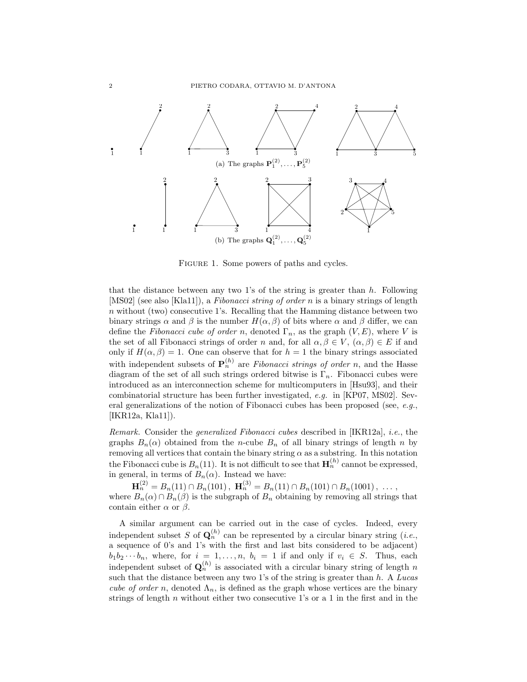

FIGURE 1. Some powers of paths and cycles.

that the distance between any two 1's of the string is greater than  $h$ . Following [MS02] (see also [Kla11]), a Fibonacci string of order n is a binary strings of length  $n$  without (two) consecutive 1's. Recalling that the Hamming distance between two binary strings  $\alpha$  and  $\beta$  is the number  $H(\alpha, \beta)$  of bits where  $\alpha$  and  $\beta$  differ, we can define the Fibonacci cube of order n, denoted  $\Gamma_n$ , as the graph  $(V, E)$ , where V is the set of all Fibonacci strings of order n and, for all  $\alpha, \beta \in V$ ,  $(\alpha, \beta) \in E$  if and only if  $H(\alpha, \beta) = 1$ . One can observe that for  $h = 1$  the binary strings associated with independent subsets of  $\mathbf{P}_n^{(h)}$  are Fibonacci strings of order n, and the Hasse diagram of the set of all such strings ordered bitwise is  $\Gamma_n$ . Fibonacci cubes were introduced as an interconnection scheme for multicomputers in [Hsu93], and their combinatorial structure has been further investigated, e.g. in [KP07, MS02]. Several generalizations of the notion of Fibonacci cubes has been proposed (see, e.g., [IKR12a, Kla11]).

Remark. Consider the generalized Fibonacci cubes described in [IKR12a], i.e., the graphs  $B_n(\alpha)$  obtained from the *n*-cube  $B_n$  of all binary strings of length *n* by removing all vertices that contain the binary string  $\alpha$  as a substring. In this notation the Fibonacci cube is  $B_n(11)$ . It is not difficult to see that  $\mathbf{H}_n^{(h)}$  cannot be expressed, in general, in terms of  $B_n(\alpha)$ . Instead we have:

 $\mathbf{H}_n^{(2)} = B_n(11) \cap B_n(101)$ ,  $\mathbf{H}_n^{(3)} = B_n(11) \cap B_n(101) \cap B_n(1001)$ , ..., where  $B_n(\alpha) \cap B_n(\beta)$  is the subgraph of  $B_n$  obtaining by removing all strings that contain either  $\alpha$  or  $\beta$ .

A similar argument can be carried out in the case of cycles. Indeed, every independent subset S of  $\mathbf{Q}_n^{(h)}$  can be represented by a circular binary string (*i.e.*, a sequence of 0's and 1's with the first and last bits considered to be adjacent)  $b_1b_2\cdots b_n$ , where, for  $i = 1, \ldots, n$ ,  $b_i = 1$  if and only if  $v_i \in S$ . Thus, each independent subset of  $\mathbf{Q}_n^{(h)}$  is associated with a circular binary string of length n such that the distance between any two 1's of the string is greater than  $h$ . A Lucas cube of order n, denoted  $\Lambda_n$ , is defined as the graph whose vertices are the binary strings of length  $n$  without either two consecutive 1's or a 1 in the first and in the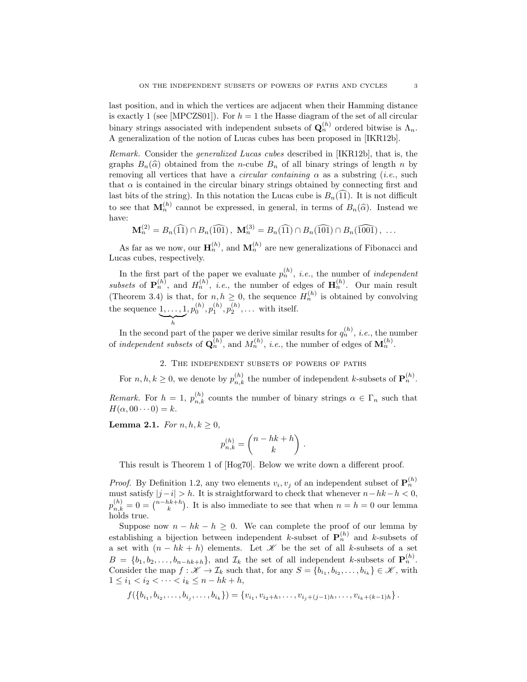last position, and in which the vertices are adjacent when their Hamming distance is exactly 1 (see [MPCZS01]). For  $h = 1$  the Hasse diagram of the set of all circular binary strings associated with independent subsets of  $\mathbf{Q}_n^{(h)}$  ordered bitwise is  $\Lambda_n$ . A generalization of the notion of Lucas cubes has been proposed in [IKR12b].

Remark. Consider the generalized Lucas cubes described in [IKR12b], that is, the graphs  $B_n(\hat{\alpha})$  obtained from the *n*-cube  $B_n$  of all binary strings of length *n* by removing all vertices that have a *circular containing*  $\alpha$  as a substring (*i.e.*, such that  $\alpha$  is contained in the circular binary strings obtained by connecting first and last bits of the string). In this notation the Lucas cube is  $B_n(11)$ . It is not difficult to see that  $\mathbf{M}_n^{(h)}$  cannot be expressed, in general, in terms of  $B_n(\hat{\alpha})$ . Instead we have:

$$
\mathbf{M}_n^{(2)} = B_n(\widehat{11}) \cap B_n(\widehat{101}), \ \mathbf{M}_n^{(3)} = B_n(\widehat{11}) \cap B_n(\widehat{101}) \cap B_n(\widehat{1001}), \ \ldots
$$

As far as we now, our  $\mathbf{H}_n^{(h)}$ , and  $\mathbf{M}_n^{(h)}$  are new generalizations of Fibonacci and Lucas cubes, respectively.

In the first part of the paper we evaluate  $p_n^{(h)}$ , *i.e.*, the number of *independent* subsets of  $\mathbf{P}_n^{(h)}$ , and  $H_n^{(h)}$ , *i.e.*, the number of edges of  $\mathbf{H}_n^{(h)}$ . Our main result (Theorem 3.4) is that, for  $n, h \geq 0$ , the sequence  $H_n^{(h)}$  is obtained by convolving the sequence  $1, \ldots, 1$  $\sum_{h}$  $, p_0^{(h)}, p_1^{(h)}, p_2^{(h)}, \ldots$  with itself.

In the second part of the paper we derive similar results for  $q_n^{(h)}$ , *i.e.*, the number of independent subsets of  $\mathbf{Q}_n^{(h)}$ , and  $M_n^{(h)}$ , i.e., the number of edges of  $\mathbf{M}_n^{(h)}$ .

# 2. The independent subsets of powers of paths

For  $n, h, k \geq 0$ , we denote by  $p_{n,k}^{(h)}$  the number of independent k-subsets of  $\mathbf{P}_n^{(h)}$ .

Remark. For  $h = 1$ ,  $p_{n,k}^{(h)}$  counts the number of binary strings  $\alpha \in \Gamma_n$  such that  $H(\alpha, 00 \cdots 0) = k.$ 

Lemma 2.1. For  $n, h, k \geq 0$ ,

$$
p_{n,k}^{(h)} = \binom{n-hk+h}{k} \ .
$$

This result is Theorem 1 of [Hog70]. Below we write down a different proof.

*Proof.* By Definition 1.2, any two elements  $v_i, v_j$  of an independent subset of  $\mathbf{P}_n^{(h)}$ must satisfy  $|j - i| > h$ . It is straightforward to check that whenever  $n - hk - h < 0$ ,  $p_{n,k}^{(h)} = 0 = \binom{n-hk+h}{k}$ . It is also immediate to see that when  $n = h = 0$  our lemma holds true.

Suppose now  $n - hk - h \geq 0$ . We can complete the proof of our lemma by establishing a bijection between independent k-subset of  $\mathbf{P}_n^{(h)}$  and k-subsets of a set with  $(n - hk + h)$  elements. Let X be the set of all k-subsets of a set  $B = \{b_1, b_2, \ldots, b_{n-hk+h}\},\$ and  $\mathcal{I}_k$  the set of all independent k-subsets of  $\mathbf{P}_n^{(h)}$ . Consider the map  $f: \mathscr{K} \to \mathcal{I}_k$  such that, for any  $S = \{b_{i_1}, b_{i_2}, \ldots, b_{i_k}\} \in \mathscr{K}$ , with  $1 \leq i_1 < i_2 < \cdots < i_k \leq n - hk + h,$ 

$$
f(\{b_{i_1}, b_{i_2}, \ldots, b_{i_j}, \ldots, b_{i_k}\}) = \{v_{i_1}, v_{i_2+h}, \ldots, v_{i_j+(j-1)h}, \ldots, v_{i_k+(k-1)h}\}.
$$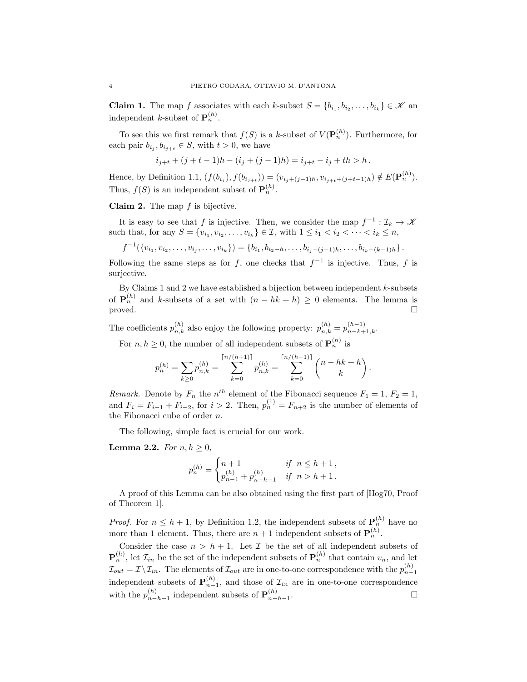**Claim 1.** The map f associates with each k-subset  $S = \{b_{i_1}, b_{i_2}, \ldots, b_{i_k}\} \in \mathcal{K}$  and independent *k*-subset of  $\mathbf{P}_n^{(h)}$ .

To see this we first remark that  $f(S)$  is a k-subset of  $V(\mathbf{P}_n^{(h)})$ . Furthermore, for each pair  $b_{i_j}, b_{i_{j+t}} \in S$ , with  $t > 0$ , we have

$$
i_{j+t} + (j+t-1)h - (i_j + (j-1)h) = i_{j+t} - i_j + th > h.
$$

Hence, by Definition 1.1,  $(f(b_{i_j}), f(b_{i_{j+t}})) = (v_{i_j+(j-1)h}, v_{i_{j+t}+(j+t-1)h}) \notin E(\mathbf{P}_n^{(h)})$ . Thus,  $f(S)$  is an independent subset of  $\mathbf{P}_n^{(h)}$ .

**Claim 2.** The map  $f$  is bijective.

It is easy to see that f is injective. Then, we consider the map  $f^{-1} : \mathcal{I}_k \to \mathcal{K}$ such that, for any  $S = \{v_{i_1}, v_{i_2}, \dots, v_{i_k}\} \in \mathcal{I}$ , with  $1 \leq i_1 < i_2 < \dots < i_k \leq n$ ,

$$
f^{-1}(\{v_{i_1}, v_{i_2}, \ldots, v_{i_j}, \ldots, v_{i_k}\}) = \{b_{i_1}, b_{i_2-k}, \ldots, b_{i_j-(j-1)h}, \ldots, b_{i_k-(k-1)h}\}.
$$

Following the same steps as for f, one checks that  $f^{-1}$  is injective. Thus, f is surjective.

By Claims 1 and 2 we have established a bijection between independent  $k$ -subsets of  $\mathbf{P}_n^{(h)}$  and k-subsets of a set with  $(n-hk+h) \geq 0$  elements. The lemma is proved.  $\square$ 

The coefficients  $p_{n,k}^{(h)}$  also enjoy the following property:  $p_{n,k}^{(h)} = p_{n-k+1,k}^{(h-1)}$ .

For  $n, h \geq 0$ , the number of all independent subsets of  $\mathbf{P}_n^{(h)}$  is

$$
p_n^{(h)} = \sum_{k \ge 0} p_{n,k}^{(h)} = \sum_{k=0}^{\lceil n/(h+1) \rceil} p_{n,k}^{(h)} = \sum_{k=0}^{\lceil n/(h+1) \rceil} \binom{n-hk+h}{k}.
$$

Remark. Denote by  $F_n$  the  $n^{th}$  element of the Fibonacci sequence  $F_1 = 1, F_2 = 1$ , and  $F_i = F_{i-1} + F_{i-2}$ , for  $i > 2$ . Then,  $p_n^{(1)} = F_{n+2}$  is the number of elements of the Fibonacci cube of order n.

The following, simple fact is crucial for our work.

**Lemma 2.2.** For  $n, h \geq 0$ ,

$$
p_n^{(h)} = \begin{cases} n+1 & \text{if } n \le h+1, \\ p_{n-1}^{(h)} + p_{n-h-1}^{(h)} & \text{if } n > h+1. \end{cases}
$$

A proof of this Lemma can be also obtained using the first part of [Hog70, Proof of Theorem 1].

*Proof.* For  $n \leq h+1$ , by Definition 1.2, the independent subsets of  $\mathbf{P}_n^{(h)}$  have no more than 1 element. Thus, there are  $n+1$  independent subsets of  $\mathbf{P}_n^{(h)}$ .

Consider the case  $n > h + 1$ . Let  $\mathcal I$  be the set of all independent subsets of  $\mathbf{P}_n^{(h)}$ , let  $\mathcal{I}_{in}$  be the set of the independent subsets of  $\mathbf{P}_n^{(h)}$  that contain  $v_n$ , and let  $\mathcal{I}_{out} = \mathcal{I} \setminus \mathcal{I}_{in}$ . The elements of  $\mathcal{I}_{out}$  are in one-to-one correspondence with the  $p_{n-1}^{(h)}$ independent subsets of  $\mathbf{P}_{n-1}^{(h)}$ , and those of  $\mathcal{I}_{in}$  are in one-to-one correspondence with the  $p_{n-}^{(h)}$  ${}_{n-h-1}^{(h)}$  independent subsets of  $\mathbf{P}_{n-1}^{(h)}$  $n-h-1$ . — Первый процесс в серверності процесс в серверності процесс в серверності процесс в серверності процесс в с<br>Первої в серверності процесс в серверності процесс в серверності процесс в серверності процесс в серверності п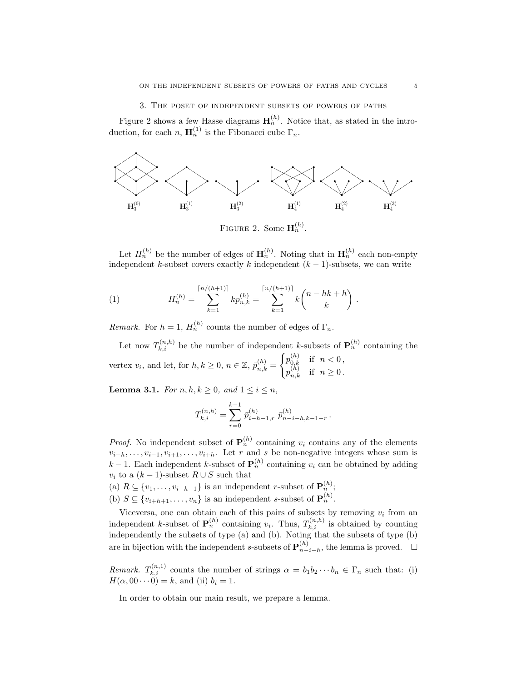### 3. The poset of independent subsets of powers of paths

Figure 2 shows a few Hasse diagrams  $\mathbf{H}_n^{(h)}$ . Notice that, as stated in the introduction, for each n,  $\mathbf{H}_n^{(1)}$  is the Fibonacci cube  $\Gamma_n$ .



FIGURE 2. Some  $\mathbf{H}_n^{(h)}$ .

Let  $H_n^{(h)}$  be the number of edges of  $\mathbf{H}_n^{(h)}$ . Noting that in  $\mathbf{H}_n^{(h)}$  each non-empty independent k-subset covers exactly k independent  $(k-1)$ -subsets, we can write

(1) 
$$
H_n^{(h)} = \sum_{k=1}^{\lceil n/(h+1) \rceil} k p_{n,k}^{(h)} = \sum_{k=1}^{\lceil n/(h+1) \rceil} k {n-hk+h \choose k}.
$$

Remark. For  $h = 1$ ,  $H_n^{(h)}$  counts the number of edges of  $\Gamma_n$ .

Let now  $T_{k,i}^{(n,h)}$  be the number of independent k-subsets of  $\mathbf{P}_n^{(h)}$  containing the vertex  $v_i$ , and let, for  $h, k \geq 0$ ,  $n \in \mathbb{Z}$ ,  $\bar{p}_{n,k}^{(h)} =$  $\int p_{0,k}^{(h)}$  if  $n < 0$ ,  $p_{n,k}^{(h)}$  if  $n \geq 0$ .

**Lemma 3.1.** For  $n, h, k \geq 0$ , and  $1 \leq i \leq n$ ,

$$
T_{k,i}^{(n,h)} = \sum_{r=0}^{k-1} \bar{p}_{i-h-1,r}^{(h)} \ \bar{p}_{n-i-h,k-1-r}^{(h)}.
$$

*Proof.* No independent subset of  $P_n^{(h)}$  containing  $v_i$  contains any of the elements  $v_{i-h}, \ldots, v_{i-1}, v_{i+1}, \ldots, v_{i+h}$ . Let r and s be non-negative integers whose sum is k − 1. Each independent k-subset of  $\mathbf{P}_n^{(h)}$  containing  $v_i$  can be obtained by adding  $v_i$  to a  $(k-1)$ -subset  $R \cup S$  such that

(a)  $R \subseteq \{v_1, \ldots, v_{i-h-1}\}\$ is an independent r-subset of  $\mathbf{P}_n^{(h)}$ ;

(b)  $S \subseteq \{v_{i+h+1}, \ldots, v_n\}$  is an independent s-subset of  $\mathbf{P}_n^{(h)}$ .

Viceversa, one can obtain each of this pairs of subsets by removing  $v_i$  from an independent k-subset of  $\mathbf{P}_n^{(h)}$  containing  $v_i$ . Thus,  $T_{k,i}^{(n,h)}$  is obtained by counting independently the subsets of type (a) and (b). Noting that the subsets of type (b) are in bijection with the independent s-subsets of  $\mathbf{P}_{n-}^{(h)}$  ${}_{n-i-h}^{(h)}$ , the lemma is proved.  $□$ 

Remark.  $T_{k,i}^{(n,1)}$  counts the number of strings  $\alpha = b_1 b_2 \cdots b_n \in \Gamma_n$  such that: (i)  $H(\alpha, 00 \cdots 0) = k$ , and (ii)  $b_i = 1$ .

In order to obtain our main result, we prepare a lemma.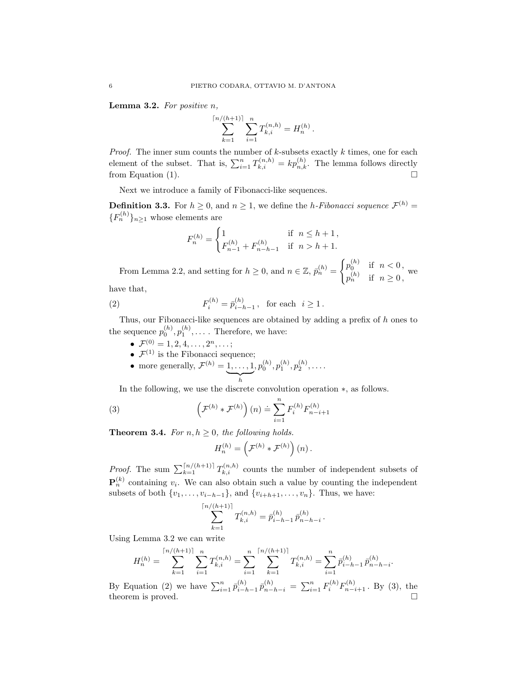**Lemma 3.2.** For positive  $n$ ,

$$
\sum_{k=1}^{\lceil n/(h+1)\rceil} \sum_{i=1}^n T_{k,i}^{(n,h)} = H_n^{(h)}.
$$

*Proof.* The inner sum counts the number of  $k$ -subsets exactly  $k$  times, one for each element of the subset. That is,  $\sum_{i=1}^{n} T_{k,i}^{(n,h)} = k p_{n,k}^{(h)}$ . The lemma follows directly from Equation (1).  $\Box$ 

Next we introduce a family of Fibonacci-like sequences.

**Definition 3.3.** For  $h \geq 0$ , and  $n \geq 1$ , we define the *h*-Fibonacci sequence  $\mathcal{F}^{(h)}$  =  ${F_n^{(h)}}_{n \geq 1}$  whose elements are

$$
F_n^{(h)} = \begin{cases} 1 & \text{if } n \le h+1, \\ F_{n-1}^{(h)} + F_{n-h-1}^{(h)} & \text{if } n > h+1. \end{cases}
$$

From Lemma 2.2, and setting for  $h \geq 0$ , and  $n \in \mathbb{Z}$ ,  $\bar{p}_n^{(h)} =$  $\int p_0^{(h)}$  if  $n < 0$ ,  $p_n^{(h)}$  if  $n \geq 0$ , we

have that,

(2) 
$$
F_i^{(h)} = \bar{p}_{i-h-1}^{(h)}, \text{ for each } i \ge 1.
$$

Thus, our Fibonacci-like sequences are obtained by adding a prefix of h ones to the sequence  $p_0^{(h)}, p_1^{(h)}, \ldots$ . Therefore, we have:

- $\bullet \ \mathcal{F}^{(0)} = 1, 2, 4, \ldots, 2^{n}, \ldots;$
- $\mathcal{F}^{(1)}$  is the Fibonacci sequence;
- more generally,  $\mathcal{F}^{(h)}=1,\ldots,1$  $\overline{h}$  $,p_0^{(h)},p_1^{(h)},p_2^{(h)},\ldots.$

In the following, we use the discrete convolution operation ∗, as follows.

(3) 
$$
\left(\mathcal{F}^{(h)} * \mathcal{F}^{(h)}\right)(n) \doteq \sum_{i=1}^{n} F_i^{(h)} F_{n-i+1}^{(h)}
$$

**Theorem 3.4.** For  $n, h \geq 0$ , the following holds.

 $\lceil n \rceil$ 

$$
H_n^{(h)} = \left(\mathcal{F}^{(h)} * \mathcal{F}^{(h)}\right)(n).
$$

*Proof.* The sum  $\sum_{k=1}^{\lceil n/(h+1) \rceil} T_{k,i}^{(n,h)}$  counts the number of independent subsets of  $\mathbf{P}_n^{(k)}$  containing  $v_i$ . We can also obtain such a value by counting the independent subsets of both  $\{v_1, \ldots, v_{i-h-1}\}$ , and  $\{v_{i+h+1}, \ldots, v_n\}$ . Thus, we have:

$$
\sum_{k=1}^{/(h+1)} T_{k,i}^{(n,h)} = \bar{p}_{i-h-1}^{(h)} \,\bar{p}_{n-h-i}^{(h)}\,.
$$

Using Lemma 3.2 we can write

$$
H_n^{(h)} = \sum_{k=1}^{\lceil n/(h+1) \rceil} \sum_{i=1}^n T_{k,i}^{(n,h)} = \sum_{i=1}^n \sum_{k=1}^{\lceil n/(h+1) \rceil} T_{k,i}^{(n,h)} = \sum_{i=1}^n \bar{p}_{i-h-1}^{(h)} \bar{p}_{n-h-i}^{(h)}.
$$

By Equation (2) we have  $\sum_{i=1}^{n} \bar{p}_{i-j}^{(h)}$  $\sum_{i=h-1}^{(h)} \bar{p}_{n-h-i}^{(h)} = \sum_{i=1}^{n} F_i^{(h)} F_{n-i+1}^{(h)}$ . By (3), the theorem is proved.  $\hfill \square$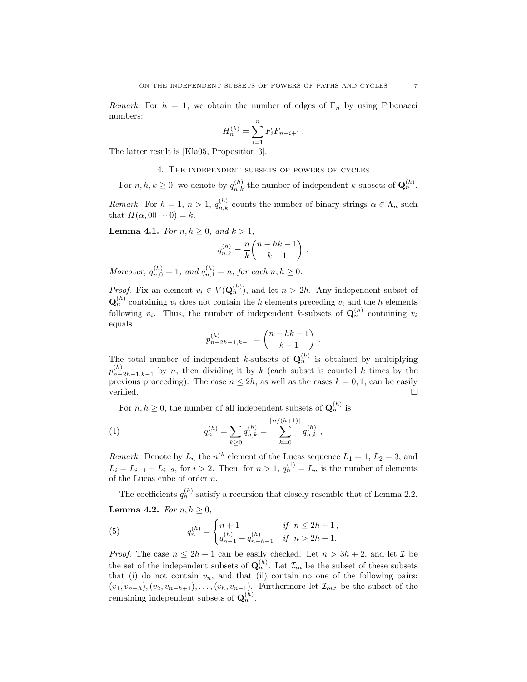Remark. For  $h = 1$ , we obtain the number of edges of  $\Gamma_n$  by using Fibonacci numbers:

$$
H_n^{(h)} = \sum_{i=1}^n F_i F_{n-i+1} \, .
$$

The latter result is [Kla05, Proposition 3].

4. The independent subsets of powers of cycles

For  $n, h, k \geq 0$ , we denote by  $q_{n,k}^{(h)}$  the number of independent k-subsets of  $\mathbf{Q}_n^{(h)}$ .

*Remark.* For  $h = 1, n > 1, q_{n,k}^{(h)}$  counts the number of binary strings  $\alpha \in \Lambda_n$  such that  $H(\alpha, 00 \cdots 0) = k$ .

**Lemma 4.1.** For  $n, h \geq 0$ , and  $k > 1$ ,

$$
q_{n,k}^{(h)} = \frac{n}{k} \binom{n-hk-1}{k-1} .
$$

Moreover,  $q_{n,0}^{(h)} = 1$ , and  $q_{n,1}^{(h)} = n$ , for each  $n, h \ge 0$ .

*Proof.* Fix an element  $v_i \in V(\mathbf{Q}_n^{(h)})$ , and let  $n > 2h$ . Any independent subset of  $\mathbf{Q}_n^{(h)}$  containing  $v_i$  does not contain the h elements preceding  $v_i$  and the h elements following  $v_i$ . Thus, the number of independent k-subsets of  $\mathbf{Q}_n^{(h)}$  containing  $v_i$ equals

$$
p_{n-2h-1,k-1}^{(h)} = \binom{n-hk-1}{k-1} \; .
$$

The total number of independent k-subsets of  $\mathbf{Q}_n^{(h)}$  is obtained by multiplying  $p_{n-}^{(h)}$  $n_{n-2h-1,k-1}^{(n)}$  by n, then dividing it by k (each subset is counted k times by the previous proceeding). The case  $n \leq 2h$ , as well as the cases  $k = 0, 1$ , can be easily verified.  $\Box$ 

For  $n, h \geq 0$ , the number of all independent subsets of  $\mathbf{Q}_n^{(h)}$  is

(4) 
$$
q_n^{(h)} = \sum_{k \geq 0} q_{n,k}^{(h)} = \sum_{k=0}^{\lceil n/(h+1) \rceil} q_{n,k}^{(h)},
$$

*Remark.* Denote by  $L_n$  the  $n^{th}$  element of the Lucas sequence  $L_1 = 1, L_2 = 3$ , and  $L_i = L_{i-1} + L_{i-2}$ , for  $i > 2$ . Then, for  $n > 1$ ,  $q_n^{(1)} = L_n$  is the number of elements of the Lucas cube of order n.

The coefficients  $q_n^{(h)}$  satisfy a recursion that closely resemble that of Lemma 2.2. Lemma 4.2. For  $n, h \geq 0$ ,

(5) 
$$
q_n^{(h)} = \begin{cases} n+1 & \text{if } n \le 2h+1, \\ q_{n-1}^{(h)} + q_{n-h-1}^{(h)} & \text{if } n > 2h+1. \end{cases}
$$

*Proof.* The case  $n \leq 2h + 1$  can be easily checked. Let  $n > 3h + 2$ , and let  $\mathcal{I}$  be the set of the independent subsets of  $\mathbf{Q}_n^{(h)}$ . Let  $\mathcal{I}_{in}$  be the subset of these subsets that (i) do not contain  $v_n$ , and that (ii) contain no one of the following pairs:  $(v_1, v_{n-h}), (v_2, v_{n-h+1}), \ldots, (v_h, v_{n-1}).$  Furthermore let  $\mathcal{I}_{out}$  be the subset of the remaining independent subsets of  $\mathbf{Q}_n^{(h)}$ .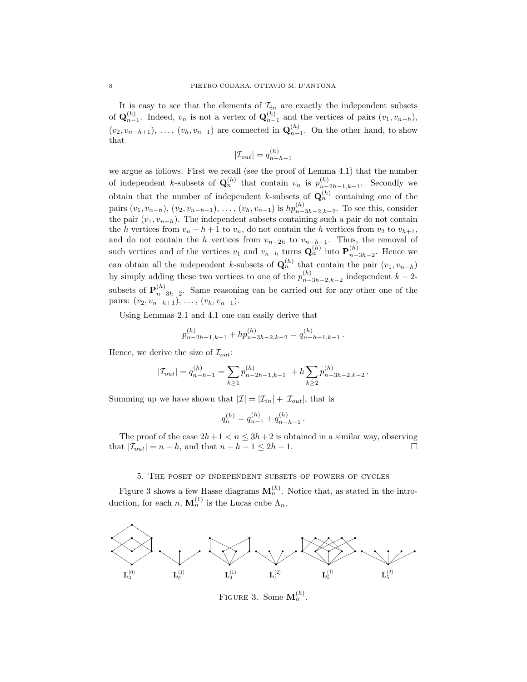It is easy to see that the elements of  $\mathcal{I}_{in}$  are exactly the independent subsets of  $\mathbf{Q}_{n-1}^{(h)}$ . Indeed,  $v_n$  is not a vertex of  $\mathbf{Q}_{n-1}^{(h)}$  and the vertices of pairs  $(v_1, v_{n-h}),$  $(v_2, v_{n-h+1}), \ldots, (v_h, v_{n-1})$  are connected in  $\mathbf{Q}_{n-1}^{(h)}$ . On the other hand, to show that

$$
|\mathcal{I}_{out}| = q_{n-h-1}^{(h)}
$$

we argue as follows. First we recall (see the proof of Lemma 4.1) that the number of independent k-subsets of  $\mathbf{Q}_n^{(h)}$  that contain  $v_n$  is  $p_{n-1}^{(h)}$  $_{n-2h-1,k-1}^{(h)}$ . Secondly we obtain that the number of independent k-subsets of  $\mathbf{Q}_n^{(h)}$  containing one of the pairs  $(v_1, v_{n-h}), (v_2, v_{n-h+1}), \ldots, (v_h, v_{n-1})$  is  $hp_{n-3h-2,k-2}^{(h)}$ . To see this, consider the pair  $(v_1, v_{n-h})$ . The independent subsets containing such a pair do not contain the h vertices from  $v_n - h + 1$  to  $v_n$ , do not contain the h vertices from  $v_2$  to  $v_{h+1}$ , and do not contain the h vertices from  $v_{n-2h}$  to  $v_{n-h-1}$ . Thus, the removal of such vertices and of the vertices  $v_1$  and  $v_{n-h}$  turns  $\mathbf{Q}_n^{(h)}$  into  $\mathbf{P}_{n-h}^{(h)}$  $\binom{n}{n-3h-2}$ . Hence we can obtain all the independent k-subsets of  $\mathbf{Q}_n^{(h)}$  that contain the pair  $(v_1, v_{n-h})$ by simply adding these two vertices to one of the  $p_{n-}^{(h)}$  $\binom{n}{n-3h-2,k-2}$  independent  $k-2$ subsets of  ${\bf P}_{n-}^{(h)}$  $\binom{n}{n-3h-2}$ . Same reasoning can be carried out for any other one of the pairs:  $(v_2, v_{n-h+1}), \ldots, (v_h, v_{n-1}).$ 

Using Lemmas 2.1 and 4.1 one can easily derive that

$$
p_{n-2h-1,k-1}^{(h)} + hp_{n-3h-2,k-2}^{(h)} = q_{n-h-1,k-1}^{(h)}
$$

.

Hence, we derive the size of  $\mathcal{I}_{out}$ :

$$
|\mathcal{I}_{out}| = q_{n-h-1}^{(h)} = \sum_{k \geq 1} p_{n-2h-1,k-1}^{(h)} \,\, + h \sum_{k \geq 2} p_{n-3h-2,k-2}^{(h)} \, .
$$

Summing up we have shown that  $|\mathcal{I}| = |\mathcal{I}_{in}| + |\mathcal{I}_{out}|$ , that is

$$
q_n^{(h)} = q_{n-1}^{(h)} + q_{n-h-1}^{(h)}.
$$

The proof of the case  $2h+1 < n \leq 3h+2$  is obtained in a similar way, observing that  $|\mathcal{I}_{out}| = n - h$ , and that  $n - h - 1 \leq 2h + 1$ .

### 5. The poset of independent subsets of powers of cycles

Figure 3 shows a few Hasse diagrams  $M_n^{(h)}$ . Notice that, as stated in the introduction, for each  $n, \mathbf{M}_n^{(1)}$  is the Lucas cube  $\Lambda_n$ .



FIGURE 3. Some  $\mathbf{M}_n^{(h)}$ .